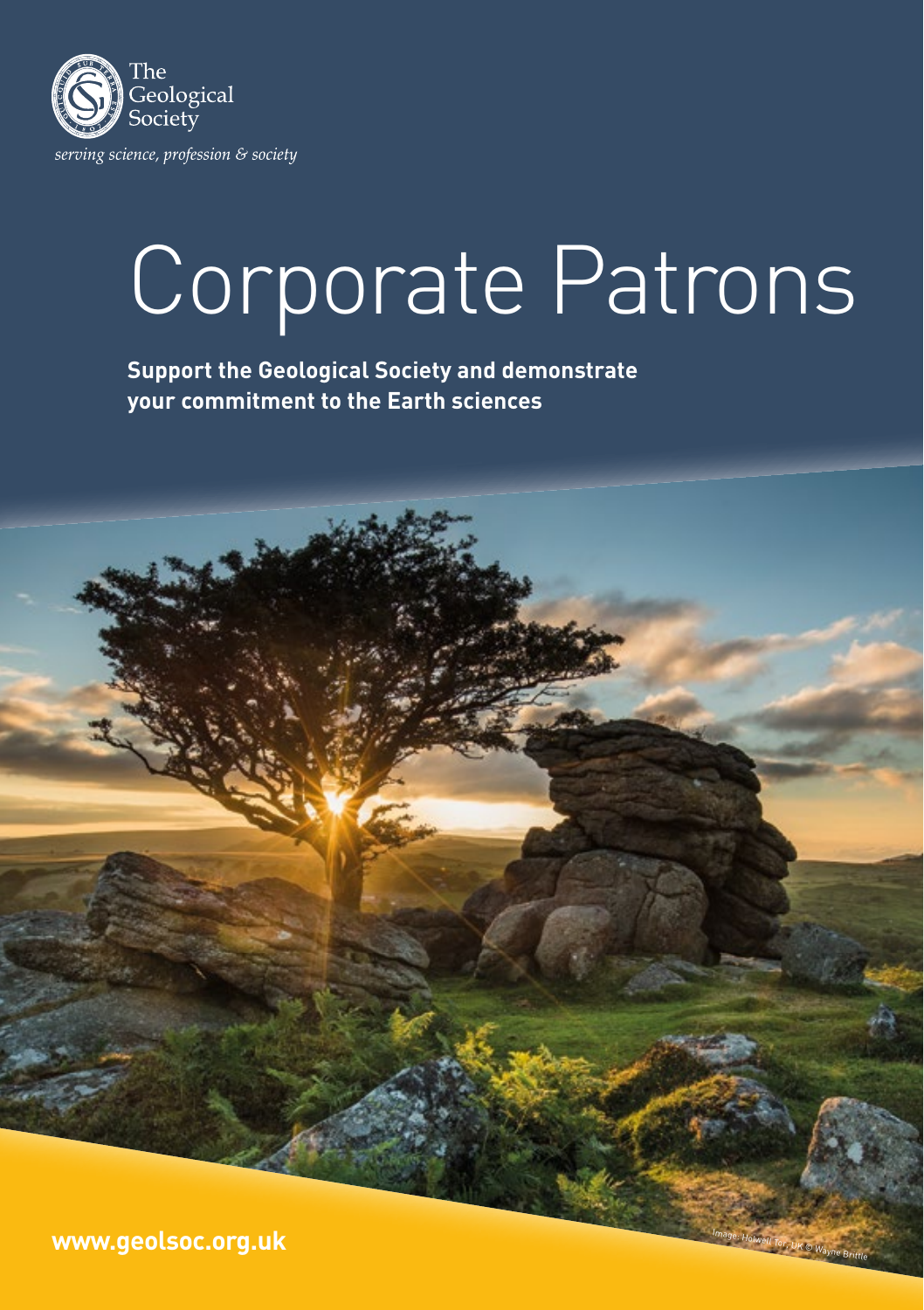

## Corporate Patrons

**Support the Geological Society and demonstrate your commitment to the Earth sciences**

Image: Holwell Tor, UK © Wayne Brittle **www.geolsoc.org.uk**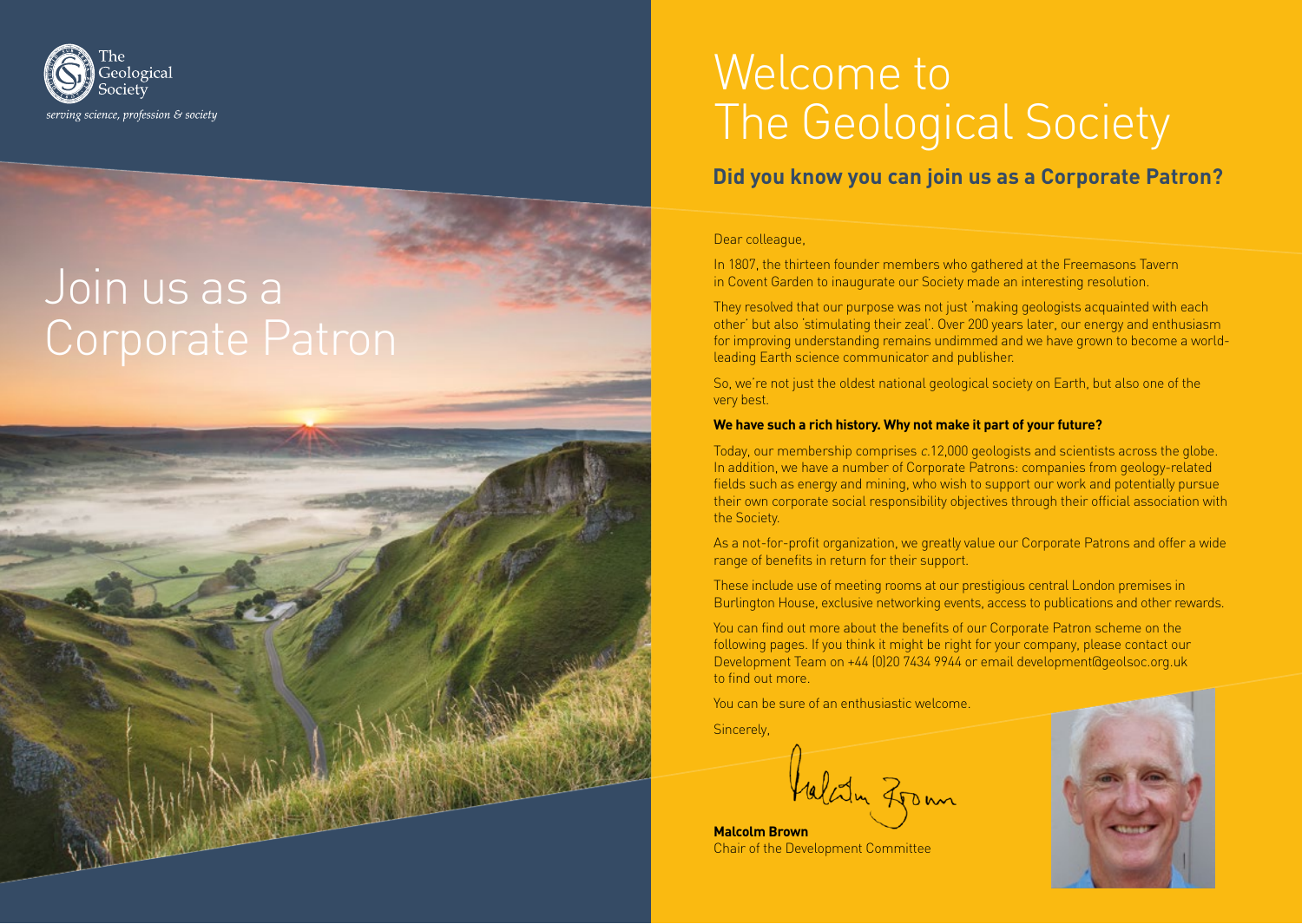

# Join us as a



### Welcome to The Geological Society

#### **Did you know you can join us as a Corporate Patron?**

#### Dear colleague,

In 1807, the thirteen founder members who gathered at the Freemasons Tavern in Covent Garden to inaugurate our Society made an interesting resolution.

They resolved that our purpose was not just 'making geologists acquainted with each other' but also 'stimulating their zeal'. Over 200 years later, our energy and enthusiasm for improving understanding remains undimmed and we have grown to become a worldleading Earth science communicator and publisher.

So, we're not just the oldest national geological society on Earth, but also one of the very best.

#### **We have such a rich history. Why not make it part of your future?**

Today, our membership comprises c.12,000 geologists and scientists across the globe. In addition, we have a number of Corporate Patrons: companies from geology-related fields such as energy and mining, who wish to support our work and potentially pursue their own corporate social responsibility objectives through their official association with the Society.

As a not-for-profit organization, we greatly value our Corporate Patrons and offer a wide range of benefits in return for their support.

These include use of meeting rooms at our prestigious central London premises in Burlington House, exclusive networking events, access to publications and other rewards.

You can find out more about the benefits of our Corporate Patron scheme on the following pages. If you think it might be right for your company, please contact our Development Team on +44 (0)20 7434 9944 or email development@geolsoc.org.uk to find out more.

You can be sure of an enthusiastic welcome.

**Sincerely** 

Valatin Zrom

**Malcolm Brown** Chair of the Development Committee

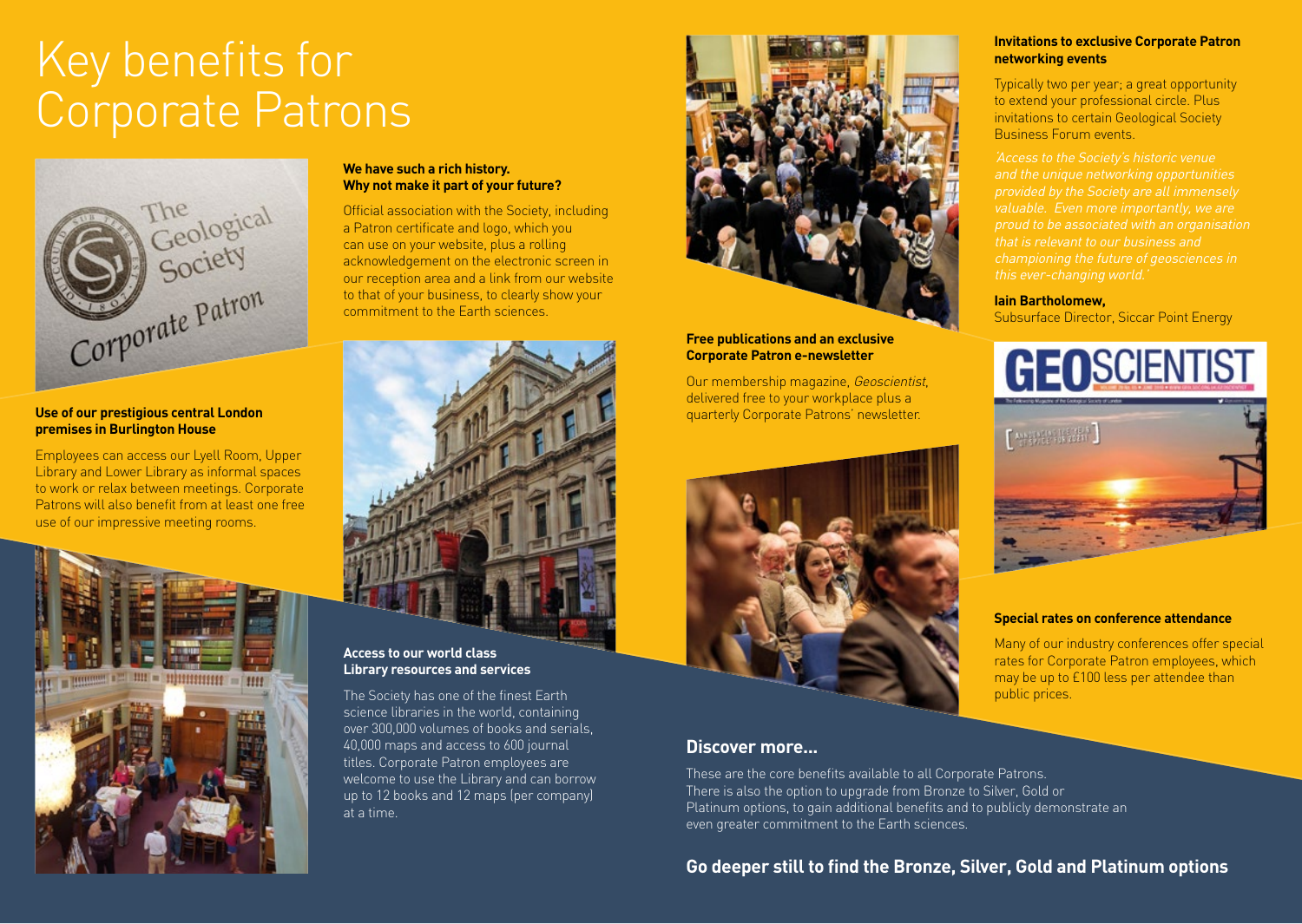### Key benefits for Corporate Patrons



#### **Use of our prestigious central London premises in Burlington House**

Employees can access our Lyell Room, Upper Library and Lower Library as informal spaces to work or relax between meetings. Corporate Patrons will also benefit from at least one free use of our impressive meeting rooms.



#### **We have such a rich history. Why not make it part of your future?**

Official association with the Society, including a Patron certificate and logo, which you can use on your website, plus a rolling acknowledgement on the electronic screen in our reception area and a link from our website to that of your business, to clearly show your commitment to the Earth sciences.



#### **Access to our world class Library resources and services**

The Society has one of the finest Earth science libraries in the world, containing over 300,000 volumes of books and serials, 40,000 maps and access to 600 journal titles. Corporate Patron employees are welcome to use the Library and can borrow up to 12 books and 12 maps (per company) at a time.



#### **Free publications and an exclusive Corporate Patron e-newsletter**

Our membership magazine, Geoscientist, delivered free to your workplace plus a quarterly Corporate Patrons' newsletter.



#### **Discover more...**

These are the core benefits available to all Corporate Patrons. There is also the option to upgrade from Bronze to Silver, Gold or Platinum options, to gain additional benefits and to publicly demonstrate an even greater commitment to the Earth sciences.

#### **Go deeper still to find the Bronze, Silver, Gold and Platinum options**

#### **Invitations to exclusive Corporate Patron networking events**

Typically two per year; a great opportunity to extend your professional circle. Plus invitations to certain Geological Society Business Forum events.

'Access to the Society's historic venue and the unique networking opportunities provided by the Society are all immensely proud to be associated with an organisation

#### **Iain Bartholomew,**

Subsurface Director, Siccar Point Energy



#### **Special rates on conference attendance**

Many of our industry conferences offer special rates for Corporate Patron employees, which may be up to £100 less per attendee than public prices.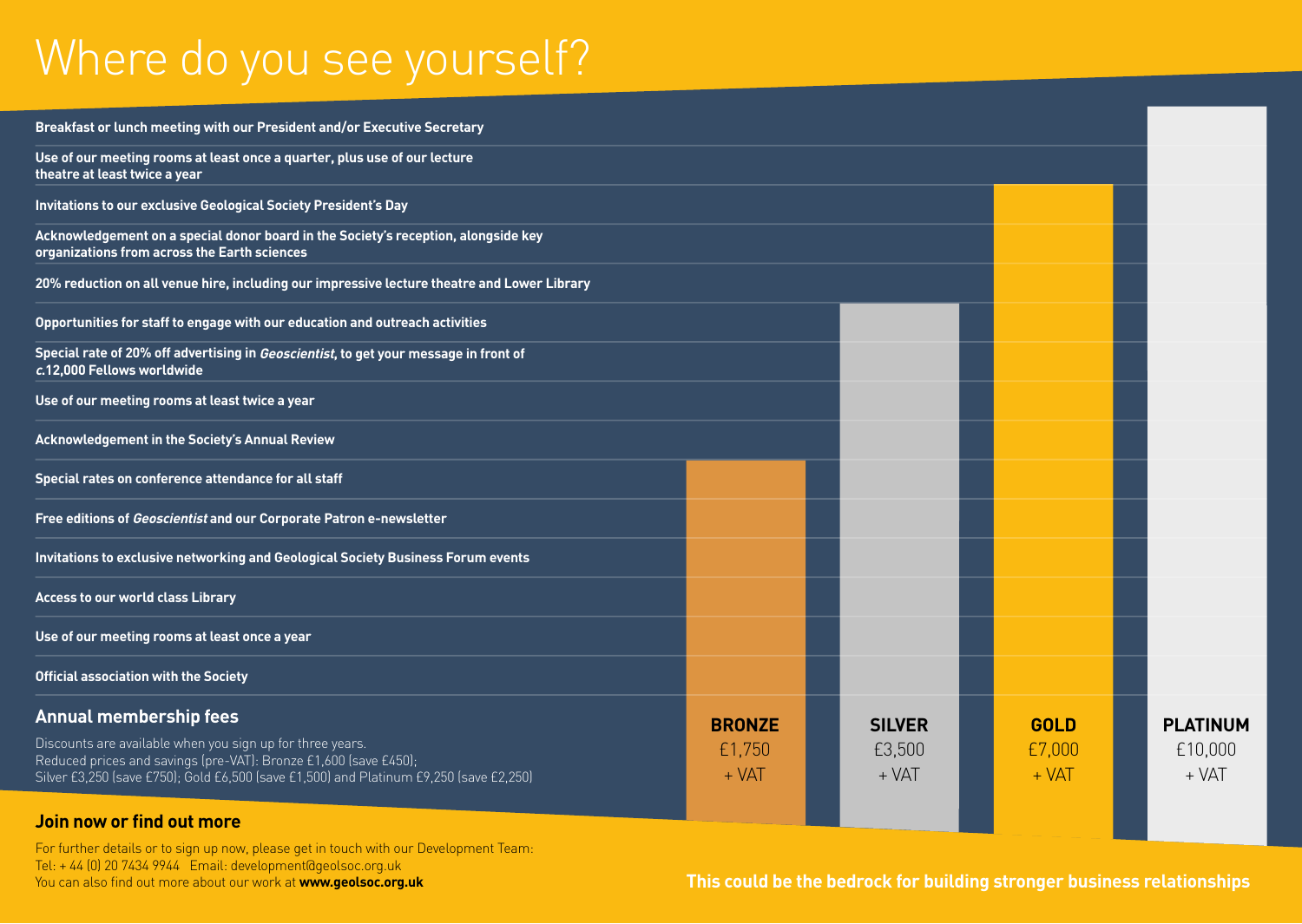### Where do you see yourself?

| Breakfast or lunch meeting with our President and/or Executive Secretary                                                                                                                                                                                 |                                    |                                    |  |                                  |                                       |
|----------------------------------------------------------------------------------------------------------------------------------------------------------------------------------------------------------------------------------------------------------|------------------------------------|------------------------------------|--|----------------------------------|---------------------------------------|
| Use of our meeting rooms at least once a quarter, plus use of our lecture<br>theatre at least twice a year                                                                                                                                               |                                    |                                    |  |                                  |                                       |
| Invitations to our exclusive Geological Society President's Day                                                                                                                                                                                          |                                    |                                    |  |                                  |                                       |
| Acknowledgement on a special donor board in the Society's reception, alongside key<br>organizations from across the Earth sciences                                                                                                                       |                                    |                                    |  |                                  |                                       |
| 20% reduction on all venue hire, including our impressive lecture theatre and Lower Library                                                                                                                                                              |                                    |                                    |  |                                  |                                       |
| Opportunities for staff to engage with our education and outreach activities                                                                                                                                                                             |                                    |                                    |  |                                  |                                       |
| Special rate of 20% off advertising in Geoscientist, to get your message in front of<br>c.12,000 Fellows worldwide                                                                                                                                       |                                    |                                    |  |                                  |                                       |
| Use of our meeting rooms at least twice a year                                                                                                                                                                                                           |                                    |                                    |  |                                  |                                       |
| <b>Acknowledgement in the Society's Annual Review</b>                                                                                                                                                                                                    |                                    |                                    |  |                                  |                                       |
| Special rates on conference attendance for all staff                                                                                                                                                                                                     |                                    |                                    |  |                                  |                                       |
| Free editions of Geoscientist and our Corporate Patron e-newsletter                                                                                                                                                                                      |                                    |                                    |  |                                  |                                       |
| Invitations to exclusive networking and Geological Society Business Forum events                                                                                                                                                                         |                                    |                                    |  |                                  |                                       |
| <b>Access to our world class Library</b>                                                                                                                                                                                                                 |                                    |                                    |  |                                  |                                       |
| Use of our meeting rooms at least once a year                                                                                                                                                                                                            |                                    |                                    |  |                                  |                                       |
| <b>Official association with the Society</b>                                                                                                                                                                                                             |                                    |                                    |  |                                  |                                       |
| <b>Annual membership fees</b><br>Discounts are available when you sign up for three years.<br>Reduced prices and savings (pre-VAT): Bronze £1,600 (save £450);<br>Silver £3,250 (save £750); Gold £6,500 (save £1,500) and Platinum £9,250 (save £2,250) | <b>BRONZE</b><br>£1,750<br>$+ VAT$ | <b>SILVER</b><br>£3,500<br>$+ VAT$ |  | <b>GOLD</b><br>£7,000<br>$+ VAT$ | <b>PLATINUM</b><br>£10,000<br>$+ VAT$ |
| Join now or find out more                                                                                                                                                                                                                                |                                    |                                    |  |                                  |                                       |

For further details or to sign up now, please get in touch with our Development Team: Tel: + 44 [0] 20 7434 9944 Email: development@geolsoc.org.uk<br>You can also find out more about our work at **www.geolsoc.org.uk** 

This could be the bedrock for building stronger business relationships